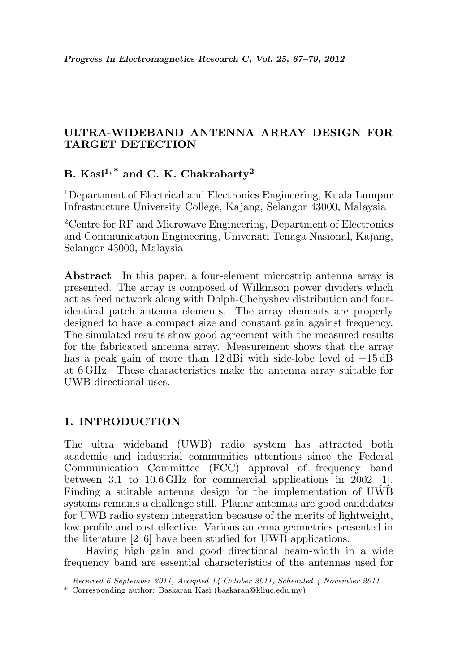# ULTRA-WIDEBAND ANTENNA ARRAY DESIGN FOR TARGET DETECTION

# B. Kasi<sup>1,\*</sup> and C. K. Chakrabarty<sup>2</sup>

<sup>1</sup>Department of Electrical and Electronics Engineering, Kuala Lumpur Infrastructure University College, Kajang, Selangor 43000, Malaysia

<sup>2</sup>Centre for RF and Microwave Engineering, Department of Electronics and Communication Engineering, Universiti Tenaga Nasional, Kajang, Selangor 43000, Malaysia

Abstract—In this paper, a four-element microstrip antenna array is presented. The array is composed of Wilkinson power dividers which act as feed network along with Dolph-Chebyshev distribution and fouridentical patch antenna elements. The array elements are properly designed to have a compact size and constant gain against frequency. The simulated results show good agreement with the measured results for the fabricated antenna array. Measurement shows that the array has a peak gain of more than 12 dBi with side-lobe level of −15 dB at 6 GHz. These characteristics make the antenna array suitable for UWB directional uses.

## 1. INTRODUCTION

The ultra wideband (UWB) radio system has attracted both academic and industrial communities attentions since the Federal Communication Committee (FCC) approval of frequency band between 3.1 to 10.6 GHz for commercial applications in 2002 [1]. Finding a suitable antenna design for the implementation of UWB systems remains a challenge still. Planar antennas are good candidates for UWB radio system integration because of the merits of lightweight, low profile and cost effective. Various antenna geometries presented in the literature [2–6] have been studied for UWB applications.

Having high gain and good directional beam-width in a wide frequency band are essential characteristics of the antennas used for

Received 6 September 2011, Accepted 14 October 2011, Scheduled 4 November 2011

<sup>\*</sup> Corresponding author: Baskaran Kasi (baskaran@kliuc.edu.my).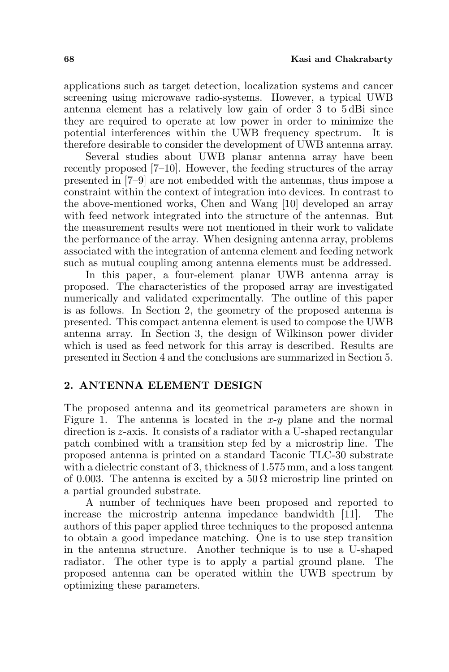applications such as target detection, localization systems and cancer screening using microwave radio-systems. However, a typical UWB antenna element has a relatively low gain of order 3 to 5 dBi since they are required to operate at low power in order to minimize the potential interferences within the UWB frequency spectrum. It is therefore desirable to consider the development of UWB antenna array.

Several studies about UWB planar antenna array have been recently proposed [7–10]. However, the feeding structures of the array presented in [7–9] are not embedded with the antennas, thus impose a constraint within the context of integration into devices. In contrast to the above-mentioned works, Chen and Wang [10] developed an array with feed network integrated into the structure of the antennas. But the measurement results were not mentioned in their work to validate the performance of the array. When designing antenna array, problems associated with the integration of antenna element and feeding network such as mutual coupling among antenna elements must be addressed.

In this paper, a four-element planar UWB antenna array is proposed. The characteristics of the proposed array are investigated numerically and validated experimentally. The outline of this paper is as follows. In Section 2, the geometry of the proposed antenna is presented. This compact antenna element is used to compose the UWB antenna array. In Section 3, the design of Wilkinson power divider which is used as feed network for this array is described. Results are presented in Section 4 and the conclusions are summarized in Section 5.

### 2. ANTENNA ELEMENT DESIGN

The proposed antenna and its geometrical parameters are shown in Figure 1. The antenna is located in the  $x-y$  plane and the normal direction is z-axis. It consists of a radiator with a U-shaped rectangular patch combined with a transition step fed by a microstrip line. The proposed antenna is printed on a standard Taconic TLC-30 substrate with a dielectric constant of 3, thickness of 1.575 mm, and a loss tangent of 0.003. The antenna is excited by a  $50\Omega$  microstrip line printed on a partial grounded substrate.

A number of techniques have been proposed and reported to increase the microstrip antenna impedance bandwidth [11]. The authors of this paper applied three techniques to the proposed antenna to obtain a good impedance matching. One is to use step transition in the antenna structure. Another technique is to use a U-shaped radiator. The other type is to apply a partial ground plane. The proposed antenna can be operated within the UWB spectrum by optimizing these parameters.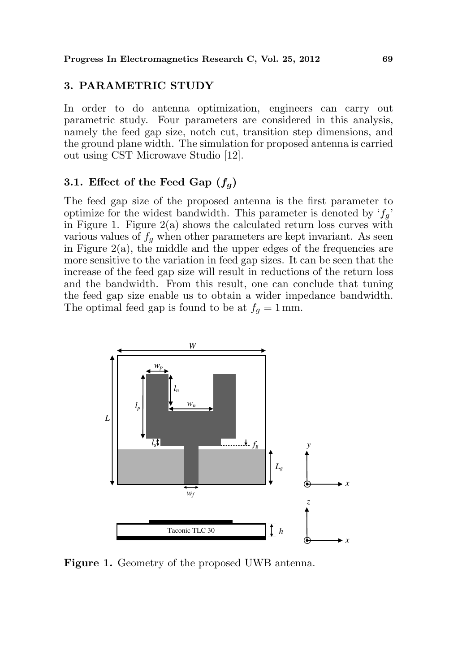### 3. PARAMETRIC STUDY

In order to do antenna optimization, engineers can carry out parametric study. Four parameters are considered in this analysis, namely the feed gap size, notch cut, transition step dimensions, and the ground plane width. The simulation for proposed antenna is carried out using CST Microwave Studio [12].

#### 3.1. Effect of the Feed Gap  $(f_q)$

The feed gap size of the proposed antenna is the first parameter to optimize for the widest bandwidth. This parameter is denoted by  $f_q$ . in Figure 1. Figure  $2(a)$  shows the calculated return loss curves with various values of  $f_q$  when other parameters are kept invariant. As seen in Figure  $2(a)$ , the middle and the upper edges of the frequencies are more sensitive to the variation in feed gap sizes. It can be seen that the increase of the feed gap size will result in reductions of the return loss and the bandwidth. From this result, one can conclude that tuning the feed gap size enable us to obtain a wider impedance bandwidth. The optimal feed gap is found to be at  $f_g = 1$  mm.



Figure 1. Geometry of the proposed UWB antenna.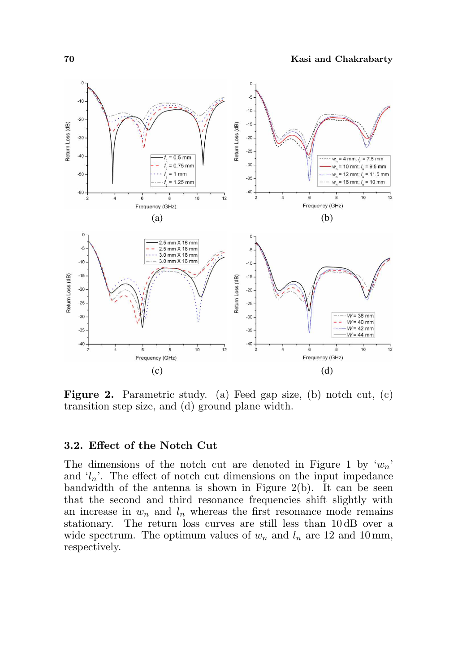

Figure 2. Parametric study. (a) Feed gap size, (b) notch cut, (c) transition step size, and (d) ground plane width.

#### 3.2. Effect of the Notch Cut

The dimensions of the notch cut are denoted in Figure 1 by  $w_n$ . and  $\langle l_n \rangle$ . The effect of notch cut dimensions on the input impedance bandwidth of the antenna is shown in Figure 2(b). It can be seen that the second and third resonance frequencies shift slightly with an increase in  $w_n$  and  $l_n$  whereas the first resonance mode remains stationary. The return loss curves are still less than 10 dB over a wide spectrum. The optimum values of  $w_n$  and  $l_n$  are 12 and 10 mm, respectively.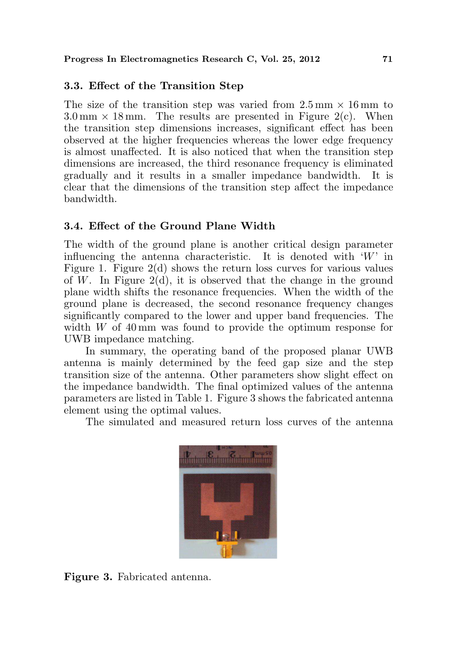# 3.3. Effect of the Transition Step

The size of the transition step was varied from  $2.5 \text{ mm} \times 16 \text{ mm}$  to  $3.0 \text{ mm} \times 18 \text{ mm}$ . The results are presented in Figure 2(c). When the transition step dimensions increases, significant effect has been observed at the higher frequencies whereas the lower edge frequency is almost unaffected. It is also noticed that when the transition step dimensions are increased, the third resonance frequency is eliminated gradually and it results in a smaller impedance bandwidth. It is clear that the dimensions of the transition step affect the impedance bandwidth.

## 3.4. Effect of the Ground Plane Width

The width of the ground plane is another critical design parameter influencing the antenna characteristic. It is denoted with  $W'$  in Figure 1. Figure 2(d) shows the return loss curves for various values of W. In Figure 2(d), it is observed that the change in the ground plane width shifts the resonance frequencies. When the width of the ground plane is decreased, the second resonance frequency changes significantly compared to the lower and upper band frequencies. The width  $W$  of 40 mm was found to provide the optimum response for UWB impedance matching.

In summary, the operating band of the proposed planar UWB antenna is mainly determined by the feed gap size and the step transition size of the antenna. Other parameters show slight effect on the impedance bandwidth. The final optimized values of the antenna parameters are listed in Table 1. Figure 3 shows the fabricated antenna element using the optimal values.

The simulated and measured return loss curves of the antenna



Figure 3. Fabricated antenna.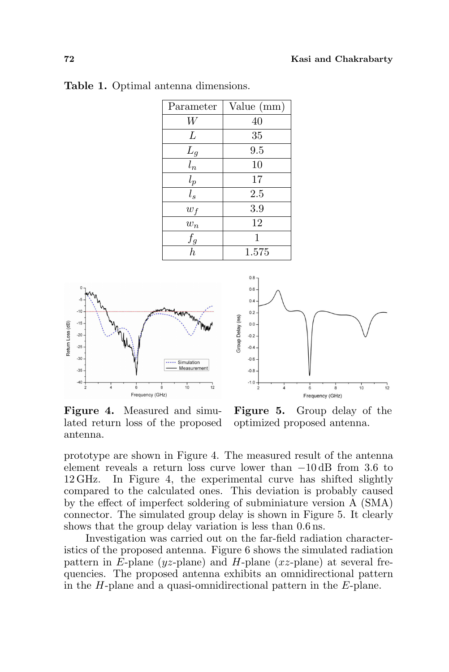| Parameter                 | Value (mm) |
|---------------------------|------------|
|                           | 40         |
| L                         | 35         |
| $L_g$                     | 9.5        |
| $\frac{\varepsilon}{l_n}$ | 10         |
| $l_p$                     | 17         |
| $l_s$                     | 2.5        |
| $w_f$                     | 3.9        |
| $w_n$                     | 12         |
| $f_g$                     | 1          |
| $\overline{h}$            | 1.575      |

Table 1. Optimal antenna dimensions.





Figure 4. Measured and simulated return loss of the proposed antenna.

Figure 5. Group delay of the optimized proposed antenna.

prototype are shown in Figure 4. The measured result of the antenna element reveals a return loss curve lower than −10 dB from 3.6 to 12 GHz. In Figure 4, the experimental curve has shifted slightly compared to the calculated ones. This deviation is probably caused by the effect of imperfect soldering of subminiature version A (SMA) connector. The simulated group delay is shown in Figure 5. It clearly shows that the group delay variation is less than 0.6 ns.

Investigation was carried out on the far-field radiation characteristics of the proposed antenna. Figure 6 shows the simulated radiation pattern in E-plane ( $yz$ -plane) and H-plane ( $xz$ -plane) at several frequencies. The proposed antenna exhibits an omnidirectional pattern in the H-plane and a quasi-omnidirectional pattern in the E-plane.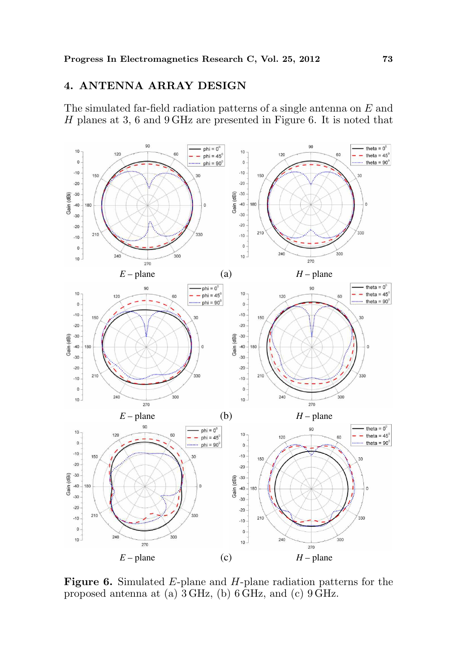# 4. ANTENNA ARRAY DESIGN

The simulated far-field radiation patterns of a single antenna on E and H planes at 3, 6 and 9 GHz are presented in Figure 6. It is noted that



Figure 6. Simulated E-plane and H-plane radiation patterns for the proposed antenna at (a) 3 GHz, (b) 6 GHz, and (c) 9 GHz.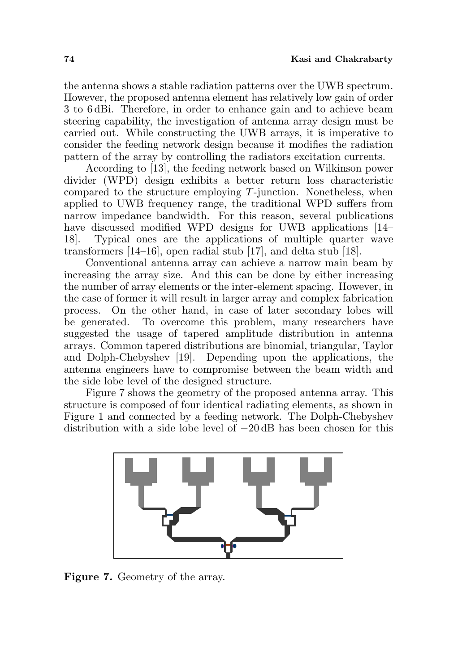the antenna shows a stable radiation patterns over the UWB spectrum. However, the proposed antenna element has relatively low gain of order 3 to 6 dBi. Therefore, in order to enhance gain and to achieve beam steering capability, the investigation of antenna array design must be carried out. While constructing the UWB arrays, it is imperative to consider the feeding network design because it modifies the radiation pattern of the array by controlling the radiators excitation currents.

According to [13], the feeding network based on Wilkinson power divider (WPD) design exhibits a better return loss characteristic compared to the structure employing T-junction. Nonetheless, when applied to UWB frequency range, the traditional WPD suffers from narrow impedance bandwidth. For this reason, several publications have discussed modified WPD designs for UWB applications [14– 18]. Typical ones are the applications of multiple quarter wave transformers [14–16], open radial stub [17], and delta stub [18].

Conventional antenna array can achieve a narrow main beam by increasing the array size. And this can be done by either increasing the number of array elements or the inter-element spacing. However, in the case of former it will result in larger array and complex fabrication process. On the other hand, in case of later secondary lobes will be generated. To overcome this problem, many researchers have suggested the usage of tapered amplitude distribution in antenna arrays. Common tapered distributions are binomial, triangular, Taylor and Dolph-Chebyshev [19]. Depending upon the applications, the antenna engineers have to compromise between the beam width and the side lobe level of the designed structure.

Figure 7 shows the geometry of the proposed antenna array. This structure is composed of four identical radiating elements, as shown in Figure 1 and connected by a feeding network. The Dolph-Chebyshev distribution with a side lobe level of −20 dB has been chosen for this



Figure 7. Geometry of the array.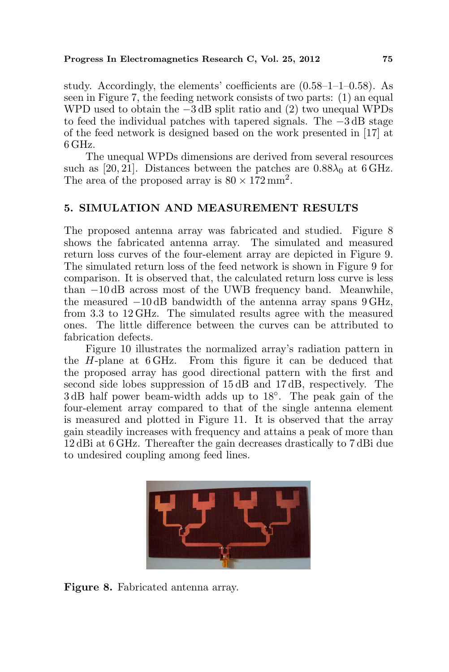#### Progress In Electromagnetics Research C, Vol. 25, 2012 75

study. Accordingly, the elements' coefficients are  $(0.58-1-1-0.58)$ . As seen in Figure 7, the feeding network consists of two parts: (1) an equal WPD used to obtain the −3 dB split ratio and (2) two unequal WPDs to feed the individual patches with tapered signals. The −3 dB stage of the feed network is designed based on the work presented in [17] at 6 GHz.

The unequal WPDs dimensions are derived from several resources such as [20, 21]. Distances between the patches are  $0.88\lambda_0$  at 6 GHz. The area of the proposed array is  $80 \times 172 \text{ mm}^2$ .

# 5. SIMULATION AND MEASUREMENT RESULTS

The proposed antenna array was fabricated and studied. Figure 8 shows the fabricated antenna array. The simulated and measured return loss curves of the four-element array are depicted in Figure 9. The simulated return loss of the feed network is shown in Figure 9 for comparison. It is observed that, the calculated return loss curve is less than −10 dB across most of the UWB frequency band. Meanwhile, the measured −10 dB bandwidth of the antenna array spans 9 GHz, from 3.3 to 12 GHz. The simulated results agree with the measured ones. The little difference between the curves can be attributed to fabrication defects.

Figure 10 illustrates the normalized array's radiation pattern in the H-plane at 6 GHz. From this figure it can be deduced that the proposed array has good directional pattern with the first and second side lobes suppression of 15 dB and 17 dB, respectively. The 3 dB half power beam-width adds up to 18◦ . The peak gain of the four-element array compared to that of the single antenna element is measured and plotted in Figure 11. It is observed that the array gain steadily increases with frequency and attains a peak of more than 12 dBi at 6 GHz. Thereafter the gain decreases drastically to 7 dBi due to undesired coupling among feed lines.



Figure 8. Fabricated antenna array.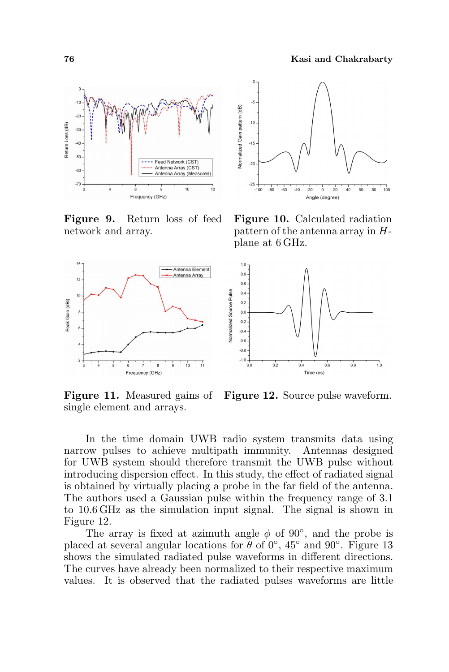

Figure 9. Return loss of feed network and array.



single element and arrays.



Figure 10. Calculated radiation pattern of the antenna array in Hplane at 6 GHz.



Figure 11. Measured gains of Figure 12. Source pulse waveform.

In the time domain UWB radio system transmits data using narrow pulses to achieve multipath immunity. Antennas designed for UWB system should therefore transmit the UWB pulse without introducing dispersion effect. In this study, the effect of radiated signal is obtained by virtually placing a probe in the far field of the antenna. The authors used a Gaussian pulse within the frequency range of 3.1 to 10.6 GHz as the simulation input signal. The signal is shown in Figure 12.

The array is fixed at azimuth angle  $\phi$  of 90 $^{\circ}$ , and the probe is placed at several angular locations for  $\theta$  of 0°, 45° and 90°. Figure 13 shows the simulated radiated pulse waveforms in different directions. The curves have already been normalized to their respective maximum values. It is observed that the radiated pulses waveforms are little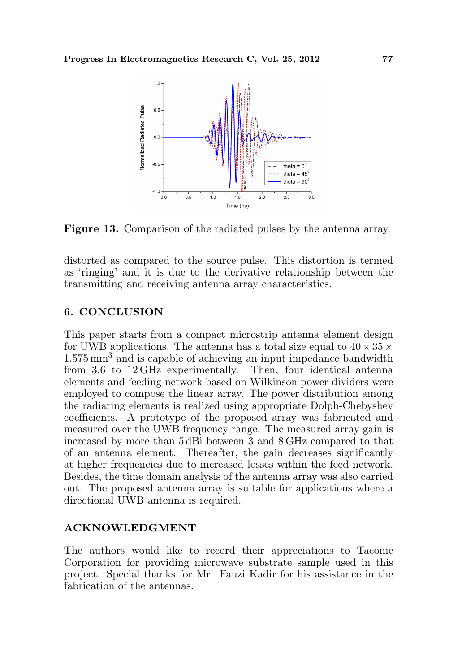

Figure 13. Comparison of the radiated pulses by the antenna array.

distorted as compared to the source pulse. This distortion is termed as 'ringing' and it is due to the derivative relationship between the transmitting and receiving antenna array characteristics.

# 6. CONCLUSION

This paper starts from a compact microstrip antenna element design for UWB applications. The antenna has a total size equal to  $40 \times 35 \times$ 1.575 mm<sup>3</sup> and is capable of achieving an input impedance bandwidth from 3.6 to 12 GHz experimentally. Then, four identical antenna elements and feeding network based on Wilkinson power dividers were employed to compose the linear array. The power distribution among the radiating elements is realized using appropriate Dolph-Chebyshev coefficients. A prototype of the proposed array was fabricated and measured over the UWB frequency range. The measured array gain is increased by more than 5 dBi between 3 and 8 GHz compared to that of an antenna element. Thereafter, the gain decreases significantly at higher frequencies due to increased losses within the feed network. Besides, the time domain analysis of the antenna array was also carried out. The proposed antenna array is suitable for applications where a directional UWB antenna is required.

#### ACKNOWLEDGMENT

The authors would like to record their appreciations to Taconic Corporation for providing microwave substrate sample used in this project. Special thanks for Mr. Fauzi Kadir for his assistance in the fabrication of the antennas.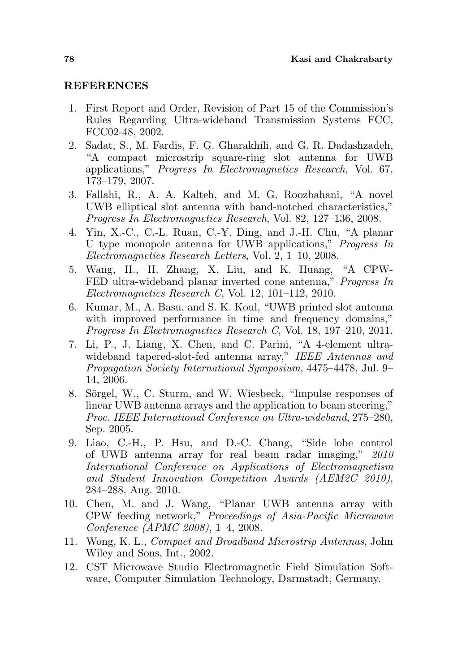#### REFERENCES

- 1. First Report and Order, Revision of Part 15 of the Commission's Rules Regarding Ultra-wideband Transmission Systems FCC, FCC02-48, 2002.
- 2. Sadat, S., M. Fardis, F. G. Gharakhili, and G. R. Dadashzadeh, "A compact microstrip square-ring slot antenna for UWB applications," Progress In Electromagnetics Research, Vol. 67, 173–179, 2007.
- 3. Fallahi, R., A. A. Kalteh, and M. G. Roozbahani, "A novel UWB elliptical slot antenna with band-notched characteristics," Progress In Electromagnetics Research, Vol. 82, 127–136, 2008.
- 4. Yin, X.-C., C.-L. Ruan, C.-Y. Ding, and J.-H. Chu, "A planar U type monopole antenna for UWB applications," Progress In Electromagnetics Research Letters, Vol. 2, 1–10, 2008.
- 5. Wang, H., H. Zhang, X. Liu, and K. Huang, "A CPW-FED ultra-wideband planar inverted cone antenna," Progress In Electromagnetics Research C, Vol. 12, 101–112, 2010.
- 6. Kumar, M., A. Basu, and S. K. Koul, "UWB printed slot antenna with improved performance in time and frequency domains," Progress In Electromagnetics Research C, Vol. 18, 197–210, 2011.
- 7. Li, P., J. Liang, X. Chen, and C. Parini, "A 4-element ultrawideband tapered-slot-fed antenna array," IEEE Antennas and Propagation Society International Symposium, 4475–4478, Jul. 9– 14, 2006.
- 8. Sörgel, W., C. Sturm, and W. Wiesbeck, "Impulse responses of linear UWB antenna arrays and the application to beam steering," Proc. IEEE International Conference on Ultra-wideband, 275–280, Sep. 2005.
- 9. Liao, C.-H., P. Hsu, and D.-C. Chang, "Side lobe control of UWB antenna array for real beam radar imaging," 2010 International Conference on Applications of Electromagnetism and Student Innovation Competition Awards (AEM2C 2010), 284–288, Aug. 2010.
- 10. Chen, M. and J. Wang, "Planar UWB antenna array with CPW feeding network," Proceedings of Asia-Pacific Microwave Conference (APMC 2008), 1–4, 2008.
- 11. Wong, K. L., Compact and Broadband Microstrip Antennas, John Wiley and Sons, Int., 2002.
- 12. CST Microwave Studio Electromagnetic Field Simulation Software, Computer Simulation Technology, Darmstadt, Germany.